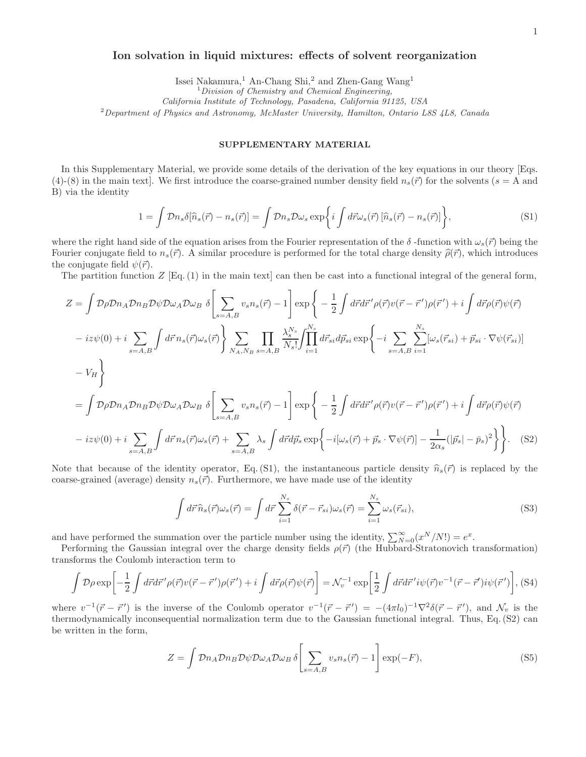## Ion solvation in liquid mixtures: effects of solvent reorganization

Issei Nakamura,<sup>1</sup> An-Chang Shi,<sup>2</sup> and Zhen-Gang Wang<sup>1</sup>

 $1$ Division of Chemistry and Chemical Engineering,

California Institute of Technology, Pasadena, California 91125, USA

<sup>2</sup> Department of Physics and Astronomy, McMaster University, Hamilton, Ontario L8S  $\angle L8$ , Canada

## SUPPLEMENTARY MATERIAL

In this Supplementary Material, we provide some details of the derivation of the key equations in our theory [Eqs. (4)-(8) in the main text. We first introduce the coarse-grained number density field  $n_s(\vec{r})$  for the solvents ( $s = A$  and B) via the identity

$$
1 = \int \mathcal{D}n_s \delta[\hat{n}_s(\vec{r}) - n_s(\vec{r})] = \int \mathcal{D}n_s \mathcal{D}\omega_s \exp\left\{i \int d\vec{r}\omega_s(\vec{r}) \left[\hat{n}_s(\vec{r}) - n_s(\vec{r})\right]\right\},\tag{S1}
$$

where the right hand side of the equation arises from the Fourier representation of the  $\delta$ -function with  $\omega_s(\vec{r})$  being the Fourier conjugate field to  $n_s(\vec{r})$ . A similar procedure is performed for the total charge density  $\hat{\rho}(\vec{r})$ , which introduces the conjugate field  $\psi(\vec{r})$ .

The partition function  $Z$  [Eq. (1) in the main text] can then be cast into a functional integral of the general form,

$$
Z = \int \mathcal{D}\rho \mathcal{D}n_A \mathcal{D}n_B \mathcal{D}\psi \mathcal{D}\omega_A \mathcal{D}\omega_B \delta \left[ \sum_{s=A,B} v_s n_s(\vec{r}) - 1 \right] \exp \left\{ -\frac{1}{2} \int d\vec{r} d\vec{r}' \rho(\vec{r}) v(\vec{r} - \vec{r}') \rho(\vec{r}') + i \int d\vec{r} \rho(\vec{r}) \psi(\vec{r}) - iz\psi(0) + i \sum_{s=A,B} \int d\vec{r} n_s(\vec{r}) \omega_s(\vec{r}) \right\} \sum_{NA, Ng} \prod_{s=A,B} \frac{\lambda_s^{Ns}}{N_s!} \int_{i=1}^{N_s} d\vec{r}_{si} d\vec{p}_{si} \exp \left\{ -i \sum_{s=A,B} \sum_{i=1}^{N_s} [\omega_s(\vec{r}_{si}) + \vec{p}_{si} \cdot \nabla \psi(\vec{r}_{si})] \right\}
$$

$$
-V_H \right\}
$$

$$
= \int \mathcal{D}\rho \mathcal{D}n_A \mathcal{D}n_B \mathcal{D}\psi \mathcal{D}\omega_A \mathcal{D}\omega_B \delta \left[ \sum_{s=A,B} v_s n_s(\vec{r}) - 1 \right] \exp \left\{ -\frac{1}{2} \int d\vec{r} d\vec{r}' \rho(\vec{r}) v(\vec{r} - \vec{r}') \rho(\vec{r}') + i \int d\vec{r} \rho(\vec{r}) \psi(\vec{r}) - iz\psi(0) + i \sum_{s=A,B} \int d\vec{r} n_s(\vec{r}) \omega_s(\vec{r}) + \sum_{s=A,B} \lambda_s \int d\vec{r} d\vec{p}_s \exp \left\{ -i[\omega_s(\vec{r}) + \vec{p}_s \cdot \nabla \psi(\vec{r})] - \frac{1}{2\alpha_s} (|\vec{p}_s| - \vec{p}_s)^2 \right\} \right\}.
$$
(S2)

Note that because of the identity operator, Eq. (S1), the instantaneous particle density  $\hat{n}_s(\vec{r})$  is replaced by the coarse-grained (average) density  $n_s(\vec{r})$ . Furthermore, we have made use of the identity

$$
\int d\vec{r} \,\hat{n}_s(\vec{r})\omega_s(\vec{r}) = \int d\vec{r} \sum_{i=1}^{N_s} \delta(\vec{r} - \vec{r}_{si})\omega_s(\vec{r}) = \sum_{i=1}^{N_s} \omega_s(\vec{r}_{si}),
$$
\n(S3)

and have performed the summation over the particle number using the identity,  $\sum_{N=0}^{\infty} (x^N/N!) = e^x$ .

Performing the Gaussian integral over the charge density fields  $\rho(\vec{r})$  (the Hubbard-Stratonovich transformation) transforms the Coulomb interaction term to

$$
\int \mathcal{D}\rho \exp\left[-\frac{1}{2}\int d\vec{r}d\vec{r}'\rho(\vec{r})v(\vec{r}-\vec{r}')\rho(\vec{r}') + i\int d\vec{r}\rho(\vec{r})\psi(\vec{r})\right] = \mathcal{N}_v^{-1} \exp\left[\frac{1}{2}\int d\vec{r}d\vec{r}'i\psi(\vec{r})v^{-1}(\vec{r}-\vec{r}')i\psi(\vec{r}')\right],
$$
(S4)

where  $v^{-1}(\vec{r} - \vec{r}')$  is the inverse of the Coulomb operator  $v^{-1}(\vec{r} - \vec{r}') = -(4\pi l_0)^{-1} \nabla^2 \delta(\vec{r} - \vec{r}')$ , and  $\mathcal{N}_v$  is the thermodynamically inconsequential normalization term due to the Gaussian functional integral. Thus, Eq. (S2) can be written in the form,

$$
Z = \int \mathcal{D}n_A \mathcal{D}n_B \mathcal{D}\psi \mathcal{D}\omega_A \mathcal{D}\omega_B \delta \left[ \sum_{s=A,B} v_s n_s(\vec{r}) - 1 \right] \exp(-F), \tag{S5}
$$